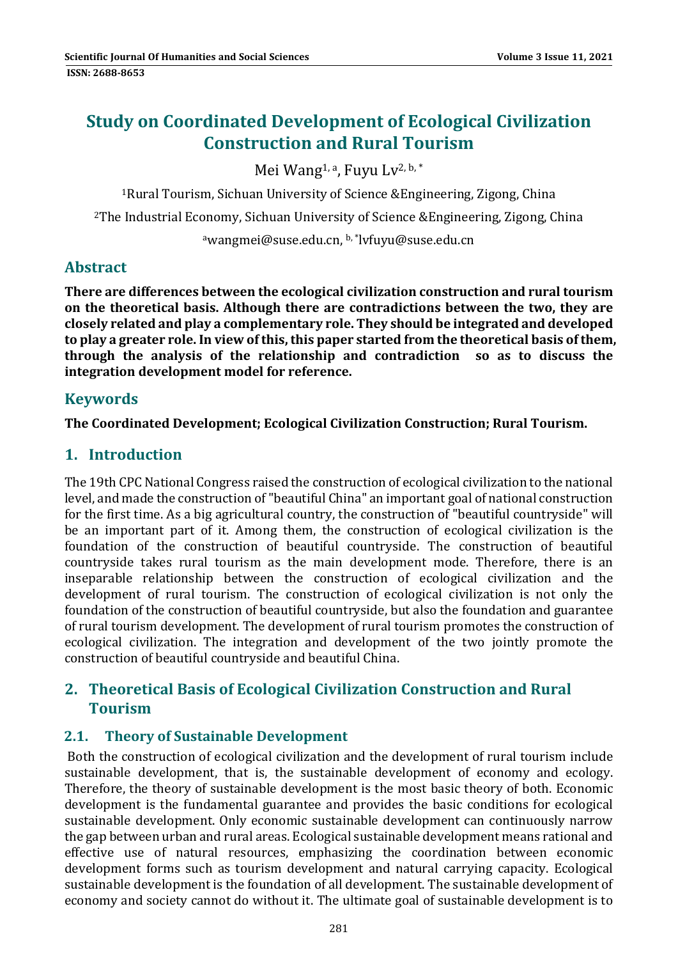# **Study on Coordinated Development of Ecological Civilization Construction and Rural Tourism**

Mei Wang<sup>1, a</sup>, Fuvu Lv<sup>2, b, \*</sup>

<sup>1</sup>Rural Tourism, Sichuan University of Science & Engineering, Zigong, China

<sup>2</sup>The Industrial Economy, Sichuan University of Science &Engineering, Zigong, China

awangmei@suse.edu.cn, b,\*lvfuyu@suse.edu.cn

### **Abstract**

**There are differences between the ecological civilization construction and rural tourism on the theoretical basis. Although there are contradictions between the two, they are closely related and play a complementary role. They should be integrated and developed to play a greater role. In view ofthis,this paper started from the theoretical basis ofthem, through the analysis of the relationship and contradiction so as to discuss the integration development model for reference.**

### **Keywords**

**The Coordinated Development; Ecological Civilization Construction; Rural Tourism.**

### **1. Introduction**

The 19th CPC National Congress raised the construction of ecological civilization to the national level, and made the construction of "beautiful China" an important goal of national construction for the first time. As a big agricultural country, the construction of "beautiful countryside" will be an important part of it. Among them, the construction of ecological civilization is the foundation of the construction of beautiful countryside. The construction of beautiful countryside takes rural tourism as the main development mode. Therefore, there is an inseparable relationship between the construction of ecological civilization and the development of rural tourism. The construction of ecological civilization is not only the foundation of the construction of beautiful countryside, but also the foundation and guarantee of rural tourism development. The development of rural tourism promotes the construction of ecological civilization. The integration and development of the two jointly promote the construction of beautiful countryside and beautiful China.

### **2. Theoretical Basis of Ecological Civilization Construction and Rural Tourism**

#### **2.1.** Theory of Sustainable Development

Both the construction of ecological civilization and the development of rural tourism include sustainable development, that is, the sustainable development of economy and ecology. Therefore, the theory of sustainable development is the most basic theory of both. Economic development is the fundamental guarantee and provides the basic conditions for ecological sustainable development. Only economic sustainable development can continuously narrow the gap between urban and rural areas. Ecological sustainable development means rational and effective use of natural resources, emphasizing the coordination between economic development forms such as tourism development and natural carrying capacity. Ecological sustainable development is the foundation of all development. The sustainable development of economy and society cannot do without it. The ultimate goal of sustainable development is to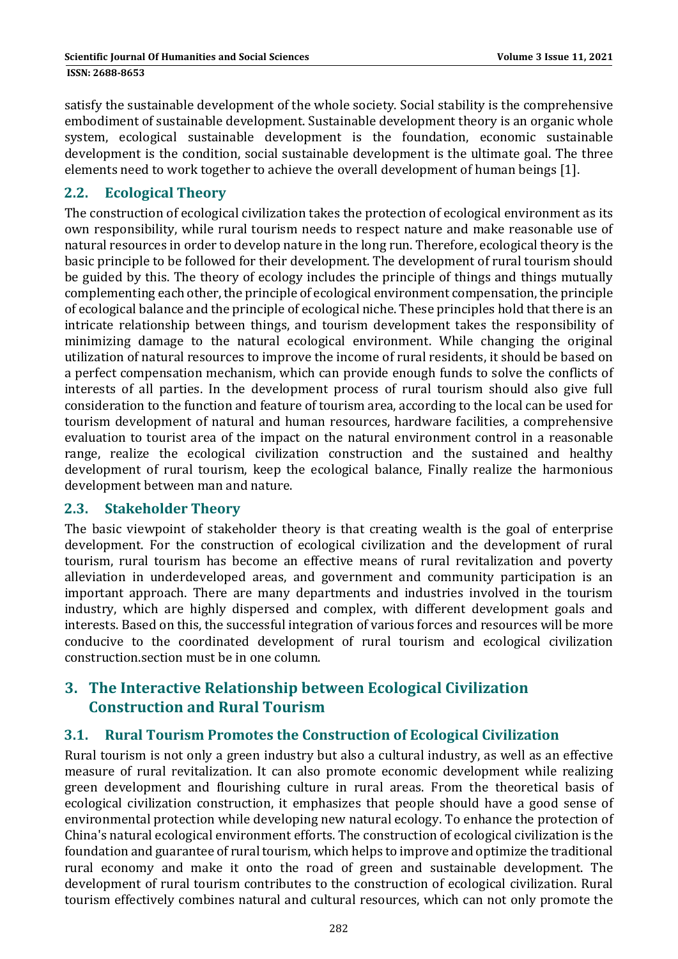satisfy the sustainable development of the whole society. Social stability is the comprehensive embodiment of sustainable development. Sustainable development theory is an organic whole system, ecological sustainable development is the foundation, economic sustainable development is the condition, social sustainable development is the ultimate goal. The three elements need to work together to achieve the overall development of human beings [1].

### **2.2. Ecological Theory**

The construction of ecological civilization takes the protection of ecological environment as its own responsibility, while rural tourism needs to respect nature and make reasonable use of natural resources in order to develop nature in the long run. Therefore, ecological theory is the basic principle to be followed for their development. The development of rural tourism should be guided by this. The theory of ecology includes the principle of things and things mutually complementing each other, the principle of ecological environment compensation, the principle of ecological balance and the principle of ecological niche. These principles hold that there is an intricate relationship between things, and tourism development takes the responsibility of minimizing damage to the natural ecological environment. While changing the original utilization of natural resources to improve the income of rural residents, it should be based on a perfect compensation mechanism, which can provide enough funds to solve the conflicts of interests of all parties. In the development process of rural tourism should also give full consideration to the function and feature of tourism area, according to the local can be used for tourism development of natural and human resources, hardware facilities, a comprehensive evaluation to tourist area of the impact on the natural environment control in a reasonable range, realize the ecological civilization construction and the sustained and healthy development of rural tourism, keep the ecological balance, Finally realize the harmonious development between man and nature.

#### **2.3. Stakeholder Theory**

The basic viewpoint of stakeholder theory is that creating wealth is the goal of enterprise development. For the construction of ecological civilization and the development of rural tourism, rural tourism has become an effective means of rural revitalization and poverty alleviation in underdeveloped areas, and government and community participation is an important approach. There are many departments and industries involved in the tourism industry, which are highly dispersed and complex, with different development goals and interests. Based on this, the successful integration of various forces and resources will be more conducive to the coordinated development of rural tourism and ecological civilization construction.section must be in one column.

### **3. The Interactive Relationship between Ecological Civilization Construction** and **Rural** Tourism

#### **3.1. Rural Tourism Promotes the Construction of Ecological Civilization**

Rural tourism is not only a green industry but also a cultural industry, as well as an effective measure of rural revitalization. It can also promote economic development while realizing green development and flourishing culture in rural areas. From the theoretical basis of ecological civilization construction, it emphasizes that people should have a good sense of environmental protection while developing new natural ecology. To enhance the protection of China's natural ecological environment efforts. The construction of ecological civilization is the foundation and guarantee of rural tourism, which helps to improve and optimize the traditional rural economy and make it onto the road of green and sustainable development. The development of rural tourism contributes to the construction of ecological civilization. Rural tourism effectively combines natural and cultural resources, which can not only promote the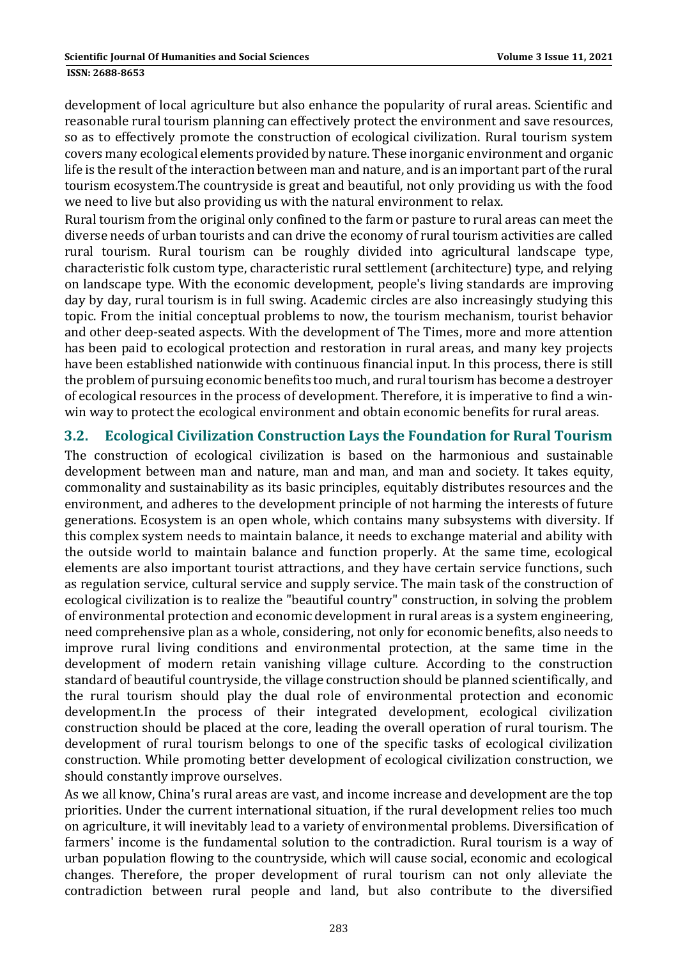#### **ISSN: 2688-8653**

development of local agriculture but also enhance the popularity of rural areas. Scientific and reasonable rural tourism planning can effectively protect the environment and save resources, so as to effectively promote the construction of ecological civilization. Rural tourism system covers many ecological elements provided by nature. These inorganic environment and organic life is the result of the interaction between man and nature, and is an important part of the rural tourism ecosystem.The countryside is great and beautiful, not only providing us with the food we need to live but also providing us with the natural environment to relax.

Rural tourism from the original only confined to the farm or pasture to rural areas can meet the diverse needs of urban tourists and can drive the economy of rural tourism activities are called rural tourism. Rural tourism can be roughly divided into agricultural landscape type, characteristic folk custom type, characteristic rural settlement (architecture) type, and relying on landscape type. With the economic development, people's living standards are improving day by day, rural tourism is in full swing. Academic circles are also increasingly studying this topic. From the initial conceptual problems to now, the tourism mechanism, tourist behavior and other deep-seated aspects. With the development of The Times, more and more attention has been paid to ecological protection and restoration in rural areas, and many key projects have been established nationwide with continuous financial input. In this process, there is still the problem of pursuing economic benefits too much, and rural tourism has become a destroyer of ecological resources in the process of development. Therefore, it is imperative to find a winwin way to protect the ecological environment and obtain economic benefits for rural areas.

#### **3.2. Ecological Civilization Construction Lays the Foundation for Rural Tourism**

The construction of ecological civilization is based on the harmonious and sustainable development between man and nature, man and man, and man and society. It takes equity, commonality and sustainability as its basic principles, equitably distributes resources and the environment, and adheres to the development principle of not harming the interests of future generations. Ecosystem is an open whole, which contains many subsystems with diversity. If this complex system needs to maintain balance, it needs to exchange material and ability with the outside world to maintain balance and function properly. At the same time, ecological elements are also important tourist attractions, and they have certain service functions, such as regulation service, cultural service and supply service. The main task of the construction of ecological civilization is to realize the "beautiful country" construction, in solving the problem of environmental protection and economic development in rural areas is a system engineering, need comprehensive plan as a whole, considering, not only for economic benefits, also needs to improve rural living conditions and environmental protection, at the same time in the development of modern retain vanishing village culture. According to the construction standard of beautiful countryside, the village construction should be planned scientifically, and the rural tourism should play the dual role of environmental protection and economic development.In the process of their integrated development, ecological civilization construction should be placed at the core, leading the overall operation of rural tourism. The development of rural tourism belongs to one of the specific tasks of ecological civilization construction. While promoting better development of ecological civilization construction, we should constantly improve ourselves.

As we all know, China's rural areas are vast, and income increase and development are the top priorities. Under the current international situation, if the rural development relies too much on agriculture, it will inevitably lead to a variety of environmental problems. Diversification of farmers' income is the fundamental solution to the contradiction. Rural tourism is a way of urban population flowing to the countryside, which will cause social, economic and ecological changes. Therefore, the proper development of rural tourism can not only alleviate the contradiction between rural people and land, but also contribute to the diversified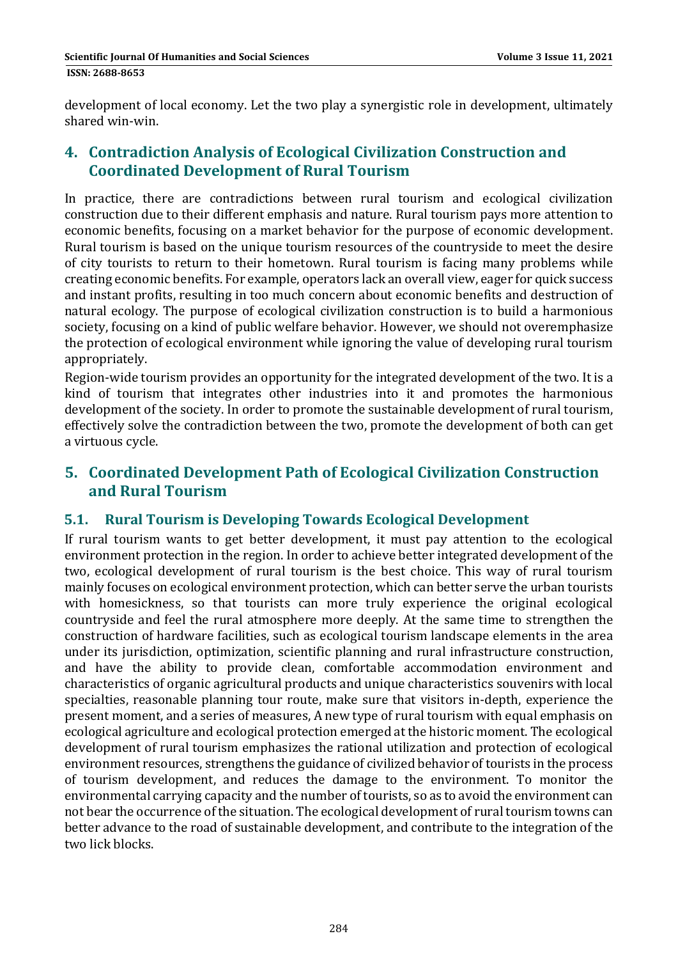development of local economy. Let the two play a synergistic role in development, ultimately shared win‐win. 

### **4. Contradiction Analysis of Ecological Civilization Construction and Coordinated Development of Rural Tourism**

In practice, there are contradictions between rural tourism and ecological civilization construction due to their different emphasis and nature. Rural tourism pays more attention to economic benefits, focusing on a market behavior for the purpose of economic development. Rural tourism is based on the unique tourism resources of the countryside to meet the desire of city tourists to return to their hometown. Rural tourism is facing many problems while creating economic benefits. For example, operators lack an overall view, eager for quick success and instant profits, resulting in too much concern about economic benefits and destruction of natural ecology. The purpose of ecological civilization construction is to build a harmonious society, focusing on a kind of public welfare behavior. However, we should not overemphasize the protection of ecological environment while ignoring the value of developing rural tourism appropriately. 

Region-wide tourism provides an opportunity for the integrated development of the two. It is a kind of tourism that integrates other industries into it and promotes the harmonious development of the society. In order to promote the sustainable development of rural tourism, effectively solve the contradiction between the two, promote the development of both can get a virtuous cycle.

### **5. Coordinated Development Path of Ecological Civilization Construction and Rural Tourism**

### **5.1. Rural Tourism is Developing Towards Ecological Development**

If rural tourism wants to get better development, it must pay attention to the ecological environment protection in the region. In order to achieve better integrated development of the two, ecological development of rural tourism is the best choice. This way of rural tourism mainly focuses on ecological environment protection, which can better serve the urban tourists with homesickness, so that tourists can more truly experience the original ecological countryside and feel the rural atmosphere more deeply. At the same time to strengthen the construction of hardware facilities, such as ecological tourism landscape elements in the area under its jurisdiction, optimization, scientific planning and rural infrastructure construction, and have the ability to provide clean, comfortable accommodation environment and characteristics of organic agricultural products and unique characteristics souvenirs with local specialties, reasonable planning tour route, make sure that visitors in-depth, experience the present moment, and a series of measures, A new type of rural tourism with equal emphasis on ecological agriculture and ecological protection emerged at the historic moment. The ecological development of rural tourism emphasizes the rational utilization and protection of ecological environment resources, strengthens the guidance of civilized behavior of tourists in the process of tourism development, and reduces the damage to the environment. To monitor the environmental carrying capacity and the number of tourists, so as to avoid the environment can not bear the occurrence of the situation. The ecological development of rural tourism towns can better advance to the road of sustainable development, and contribute to the integration of the two lick blocks.